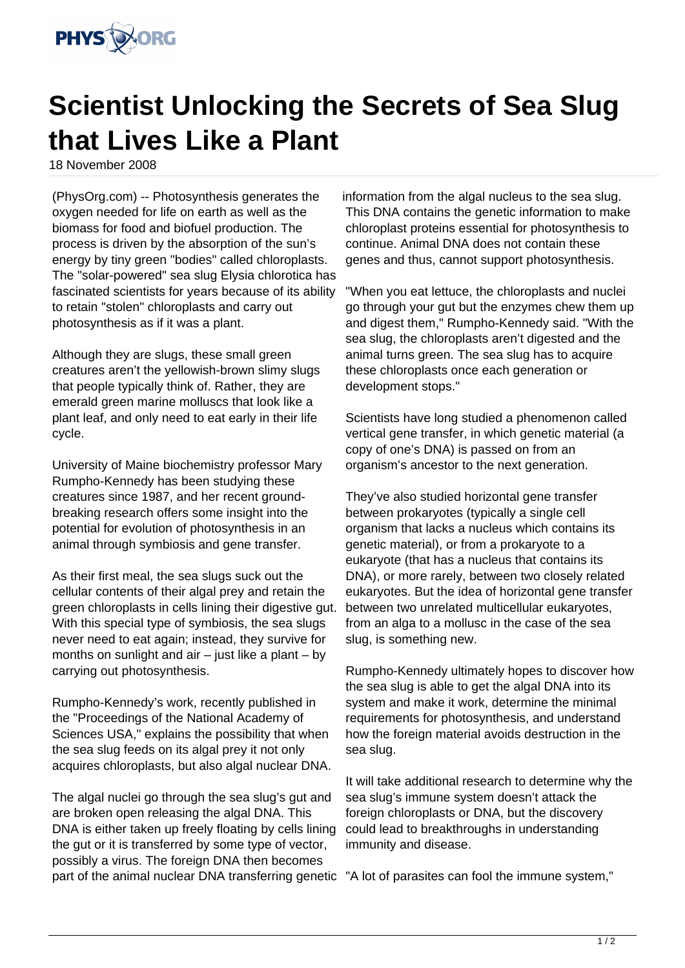

## **Scientist Unlocking the Secrets of Sea Slug that Lives Like a Plant**

18 November 2008

(PhysOrg.com) -- Photosynthesis generates the oxygen needed for life on earth as well as the biomass for food and biofuel production. The process is driven by the absorption of the sun's energy by tiny green "bodies" called chloroplasts. The "solar-powered" sea slug Elysia chlorotica has fascinated scientists for years because of its ability to retain "stolen" chloroplasts and carry out photosynthesis as if it was a plant.

Although they are slugs, these small green creatures aren't the yellowish-brown slimy slugs that people typically think of. Rather, they are emerald green marine molluscs that look like a plant leaf, and only need to eat early in their life cycle.

University of Maine biochemistry professor Mary Rumpho-Kennedy has been studying these creatures since 1987, and her recent groundbreaking research offers some insight into the potential for evolution of photosynthesis in an animal through symbiosis and gene transfer.

As their first meal, the sea slugs suck out the cellular contents of their algal prey and retain the green chloroplasts in cells lining their digestive gut. With this special type of symbiosis, the sea slugs never need to eat again; instead, they survive for months on sunlight and air  $-$  just like a plant  $-$  by carrying out photosynthesis.

Rumpho-Kennedy's work, recently published in the "Proceedings of the National Academy of Sciences USA," explains the possibility that when the sea slug feeds on its algal prey it not only acquires chloroplasts, but also algal nuclear DNA.

The algal nuclei go through the sea slug's gut and are broken open releasing the algal DNA. This DNA is either taken up freely floating by cells lining the gut or it is transferred by some type of vector, possibly a virus. The foreign DNA then becomes part of the animal nuclear DNA transferring genetic "A lot of parasites can fool the immune system,"

information from the algal nucleus to the sea slug. This DNA contains the genetic information to make chloroplast proteins essential for photosynthesis to continue. Animal DNA does not contain these genes and thus, cannot support photosynthesis.

"When you eat lettuce, the chloroplasts and nuclei go through your gut but the enzymes chew them up and digest them," Rumpho-Kennedy said. "With the sea slug, the chloroplasts aren't digested and the animal turns green. The sea slug has to acquire these chloroplasts once each generation or development stops."

Scientists have long studied a phenomenon called vertical gene transfer, in which genetic material (a copy of one's DNA) is passed on from an organism's ancestor to the next generation.

They've also studied horizontal gene transfer between prokaryotes (typically a single cell organism that lacks a nucleus which contains its genetic material), or from a prokaryote to a eukaryote (that has a nucleus that contains its DNA), or more rarely, between two closely related eukaryotes. But the idea of horizontal gene transfer between two unrelated multicellular eukaryotes, from an alga to a mollusc in the case of the sea slug, is something new.

Rumpho-Kennedy ultimately hopes to discover how the sea slug is able to get the algal DNA into its system and make it work, determine the minimal requirements for photosynthesis, and understand how the foreign material avoids destruction in the sea slug.

It will take additional research to determine why the sea slug's immune system doesn't attack the foreign chloroplasts or DNA, but the discovery could lead to breakthroughs in understanding immunity and disease.